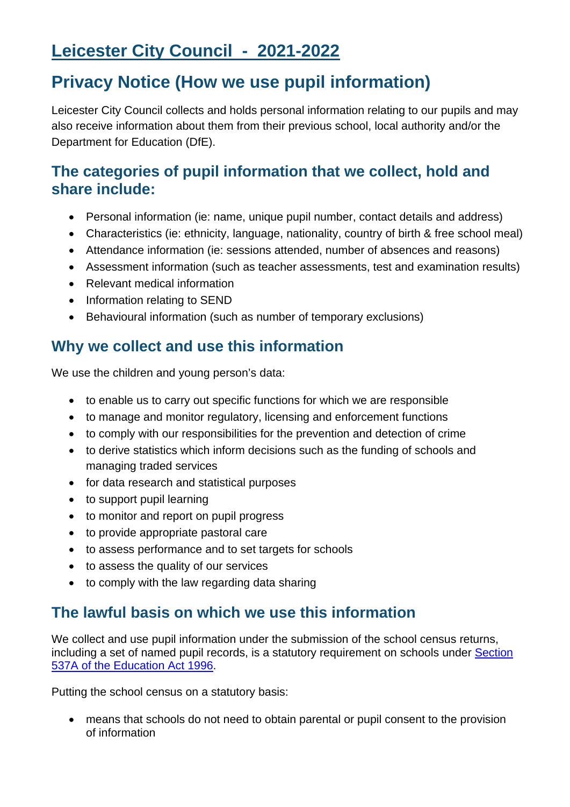# **Leicester City Council - 2021-2022**

# **Privacy Notice (How we use pupil information)**

Leicester City Council collects and holds personal information relating to our pupils and may also receive information about them from their previous school, local authority and/or the Department for Education (DfE).

## **The categories of pupil information that we collect, hold and share include:**

- Personal information (ie: name, unique pupil number, contact details and address)
- Characteristics (ie: ethnicity, language, nationality, country of birth & free school meal)
- Attendance information (ie: sessions attended, number of absences and reasons)
- Assessment information (such as teacher assessments, test and examination results)
- Relevant medical information
- Information relating to SEND
- Behavioural information (such as number of temporary exclusions)

## **Why we collect and use this information**

We use the children and young person's data:

- to enable us to carry out specific functions for which we are responsible
- to manage and monitor regulatory, licensing and enforcement functions
- to comply with our responsibilities for the prevention and detection of crime
- to derive statistics which inform decisions such as the funding of schools and managing traded services
- for data research and statistical purposes
- to support pupil learning
- to monitor and report on pupil progress
- to provide appropriate pastoral care
- to assess performance and to set targets for schools
- to assess the quality of our services
- to comply with the law regarding data sharing

## **The lawful basis on which we use this information**

We collect and use pupil information under the submission of the school census returns, including a set of named pupil records, is a statutory requirement on schools under [Section](http://www.legislation.gov.uk/ukpga/1996/56/section/537A)  [537A of the Education Act 1996.](http://www.legislation.gov.uk/ukpga/1996/56/section/537A)

Putting the school census on a statutory basis:

 means that schools do not need to obtain parental or pupil consent to the provision of information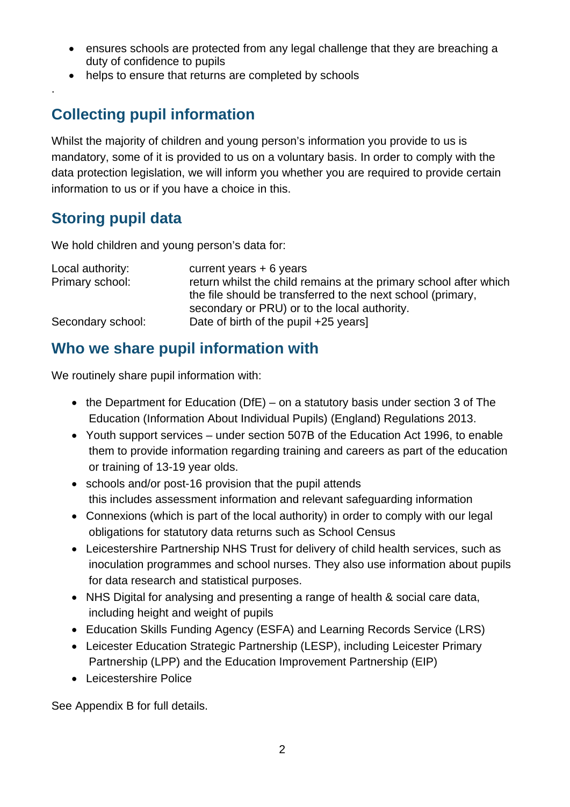- ensures schools are protected from any legal challenge that they are breaching a duty of confidence to pupils
- helps to ensure that returns are completed by schools

# **Collecting pupil information**

Whilst the majority of children and young person's information you provide to us is mandatory, some of it is provided to us on a voluntary basis. In order to comply with the data protection legislation, we will inform you whether you are required to provide certain information to us or if you have a choice in this.

# **Storing pupil data**

.

We hold children and young person's data for:

| Local authority:  | current years $+ 6$ years                                         |
|-------------------|-------------------------------------------------------------------|
| Primary school:   | return whilst the child remains at the primary school after which |
|                   | the file should be transferred to the next school (primary,       |
|                   | secondary or PRU) or to the local authority.                      |
| Secondary school: | Date of birth of the pupil +25 years]                             |

## **Who we share pupil information with**

We routinely share pupil information with:

- the Department for Education (DfE) on a statutory basis under section 3 of The Education (Information About Individual Pupils) (England) Regulations 2013.
- Youth support services under section 507B of the Education Act 1996, to enable them to provide information regarding training and careers as part of the education or training of 13-19 year olds.
- schools and/or post-16 provision that the pupil attends this includes assessment information and relevant safeguarding information
- Connexions (which is part of the local authority) in order to comply with our legal obligations for statutory data returns such as School Census
- Leicestershire Partnership NHS Trust for delivery of child health services, such as inoculation programmes and school nurses. They also use information about pupils for data research and statistical purposes.
- NHS Digital for analysing and presenting a range of health & social care data, including height and weight of pupils
- Education Skills Funding Agency (ESFA) and Learning Records Service (LRS)
- Leicester Education Strategic Partnership (LESP), including Leicester Primary Partnership (LPP) and the Education Improvement Partnership (EIP)
- **Leicestershire Police**

See Appendix B for full details.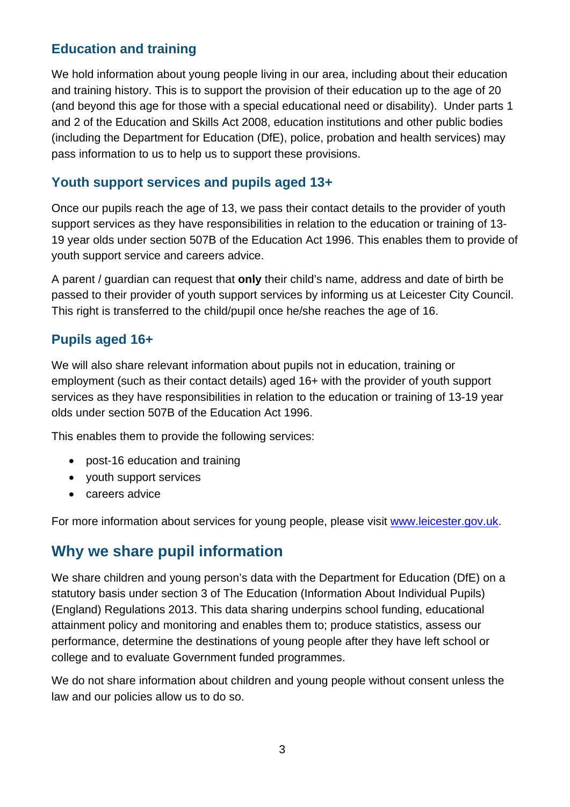### **Education and training**

We hold information about young people living in our area, including about their education and training history. This is to support the provision of their education up to the age of 20 (and beyond this age for those with a special educational need or disability). Under parts 1 and 2 of the Education and Skills Act 2008, education institutions and other public bodies (including the Department for Education (DfE), police, probation and health services) may pass information to us to help us to support these provisions.

### **Youth support services and pupils aged 13+**

Once our pupils reach the age of 13, we pass their contact details to the provider of youth support services as they have responsibilities in relation to the education or training of 13- 19 year olds under section 507B of the Education Act 1996. This enables them to provide of youth support service and careers advice.

A parent / guardian can request that **only** their child's name, address and date of birth be passed to their provider of youth support services by informing us at Leicester City Council. This right is transferred to the child/pupil once he/she reaches the age of 16.

### **Pupils aged 16+**

We will also share relevant information about pupils not in education, training or employment (such as their contact details) aged 16+ with the provider of youth support services as they have responsibilities in relation to the education or training of 13-19 year olds under section 507B of the Education Act 1996.

This enables them to provide the following services:

- post-16 education and training
- youth support services
- careers advice

For more information about services for young people, please visit [www.leicester.gov.uk.](http://www.leicester.gov.uk/)

## **Why we share pupil information**

We share children and young person's data with the Department for Education (DfE) on a statutory basis under section 3 of The Education (Information About Individual Pupils) (England) Regulations 2013. This data sharing underpins school funding, educational attainment policy and monitoring and enables them to; produce statistics, assess our performance, determine the destinations of young people after they have left school or college and to evaluate Government funded programmes.

We do not share information about children and young people without consent unless the law and our policies allow us to do so.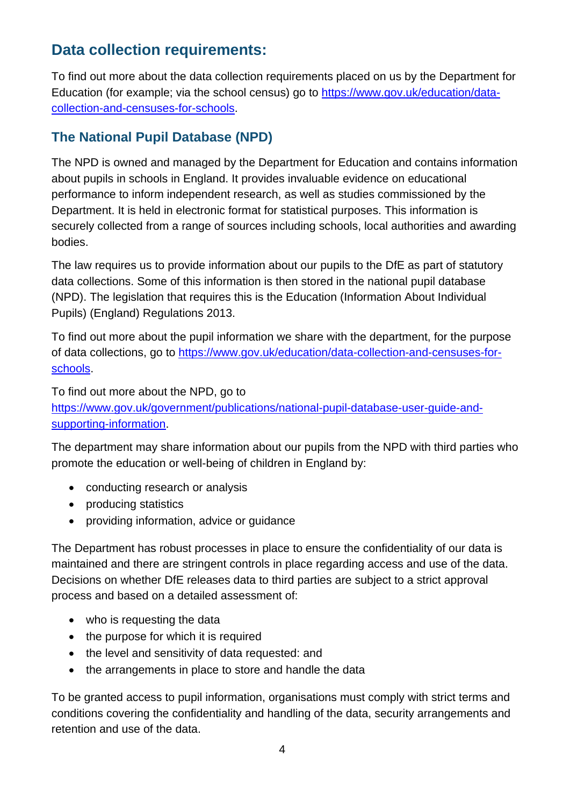## **Data collection requirements:**

To find out more about the data collection requirements placed on us by the Department for Education (for example; via the school census) go to [https://www.gov.uk/education/data](https://www.gov.uk/education/data-collection-and-censuses-for-schools)[collection-and-censuses-for-schools](https://www.gov.uk/education/data-collection-and-censuses-for-schools).

### **The National Pupil Database (NPD)**

The NPD is owned and managed by the Department for Education and contains information about pupils in schools in England. It provides invaluable evidence on educational performance to inform independent research, as well as studies commissioned by the Department. It is held in electronic format for statistical purposes. This information is securely collected from a range of sources including schools, local authorities and awarding bodies.

The law requires us to provide information about our pupils to the DfE as part of statutory data collections. Some of this information is then stored in the national pupil database (NPD). The legislation that requires this is the Education (Information About Individual Pupils) (England) Regulations 2013.

To find out more about the pupil information we share with the department, for the purpose of data collections, go to [https://www.gov.uk/education/data-collection-and-censuses-for](https://www.gov.uk/education/data-collection-and-censuses-for-schools)[schools](https://www.gov.uk/education/data-collection-and-censuses-for-schools).

To find out more about the NPD, go to [https://www.gov.uk/government/publications/national-pupil-database-user-guide-and](https://www.gov.uk/government/publications/national-pupil-database-user-guide-and-supporting-information)[supporting-information](https://www.gov.uk/government/publications/national-pupil-database-user-guide-and-supporting-information).

The department may share information about our pupils from the NPD with third parties who promote the education or well-being of children in England by:

- conducting research or analysis
- producing statistics
- providing information, advice or guidance

The Department has robust processes in place to ensure the confidentiality of our data is maintained and there are stringent controls in place regarding access and use of the data. Decisions on whether DfE releases data to third parties are subject to a strict approval process and based on a detailed assessment of:

- who is requesting the data
- the purpose for which it is required
- the level and sensitivity of data requested: and
- the arrangements in place to store and handle the data

To be granted access to pupil information, organisations must comply with strict terms and conditions covering the confidentiality and handling of the data, security arrangements and retention and use of the data.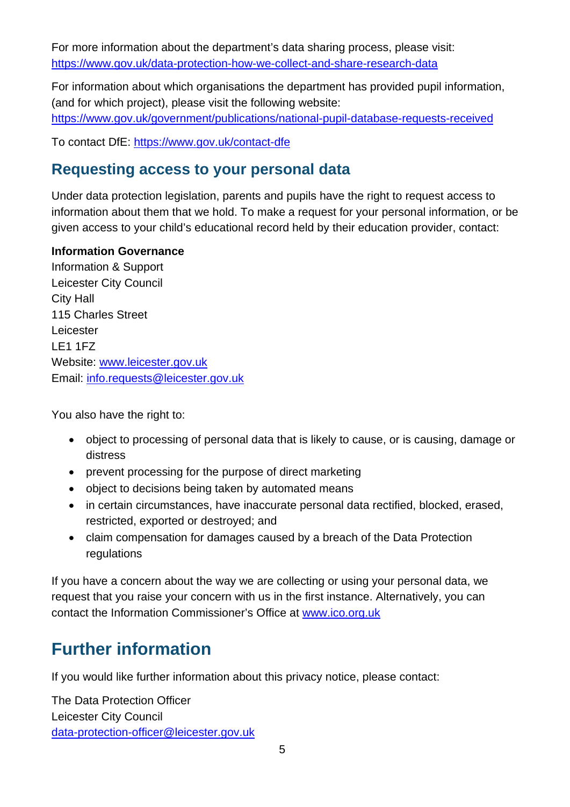For more information about the department's data sharing process, please visit: <https://www.gov.uk/data-protection-how-we-collect-and-share-research-data>

For information about which organisations the department has provided pupil information, (and for which project), please visit the following website: <https://www.gov.uk/government/publications/national-pupil-database-requests-received>

To contact DfE: <https://www.gov.uk/contact-dfe>

## **Requesting access to your personal data**

Under data protection legislation, parents and pupils have the right to request access to information about them that we hold. To make a request for your personal information, or be given access to your child's educational record held by their education provider, contact:

#### **Information Governance**

Information & Support Leicester City Council City Hall 115 Charles Street Leicester LE1 1FZ Website: [www.leicester.gov.uk](http://www.leicester.gov.uk/) Email: [info.requests@leicester.gov.uk](mailto:info.requests@leicester.gov.uk) 

You also have the right to:

- object to processing of personal data that is likely to cause, or is causing, damage or distress
- prevent processing for the purpose of direct marketing
- object to decisions being taken by automated means
- in certain circumstances, have inaccurate personal data rectified, blocked, erased, restricted, exported or destroyed; and
- claim compensation for damages caused by a breach of the Data Protection regulations

If you have a concern about the way we are collecting or using your personal data, we request that you raise your concern with us in the first instance. Alternatively, you can contact the Information Commissioner's Office at [www.ico.org.uk](http://www.ico.org.uk/)

# **Further information**

If you would like further information about this privacy notice, please contact:

The Data Protection Officer Leicester City Council [data-protection-officer@leicester.gov.uk](mailto:data-protection-officer@leicester.gov.uk)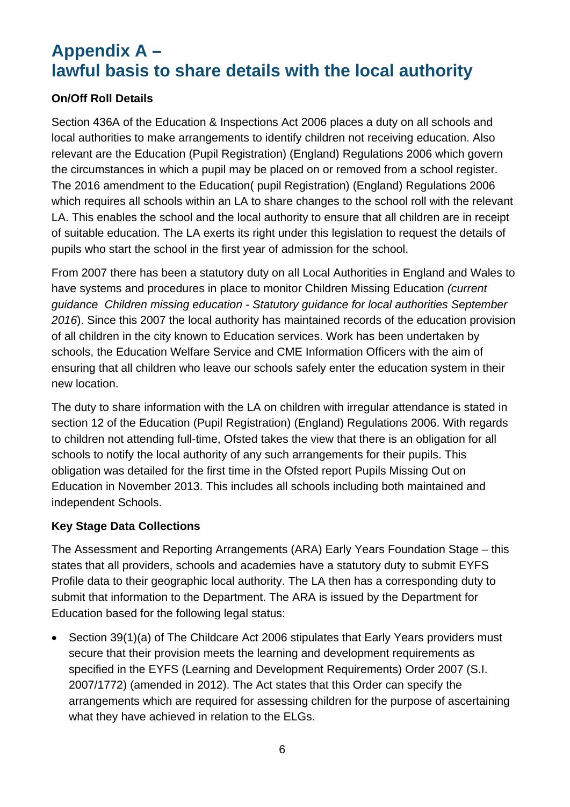# **Appendix A – lawful basis to share details with the local authority**

### **On/Off Roll Details**

Section 436A of the Education & Inspections Act 2006 places a duty on all schools and local authorities to make arrangements to identify children not receiving education. Also relevant are the Education (Pupil Registration) (England) Regulations 2006 which govern the circumstances in which a pupil may be placed on or removed from a school register. The 2016 amendment to the Education( pupil Registration) (England) Regulations 2006 which requires all schools within an LA to share changes to the school roll with the relevant LA. This enables the school and the local authority to ensure that all children are in receipt of suitable education. The LA exerts its right under this legislation to request the details of pupils who start the school in the first year of admission for the school.

From 2007 there has been a statutory duty on all Local Authorities in England and Wales to have systems and procedures in place to monitor Children Missing Education *(current guidance Children missing education - Statutory guidance for local authorities September 2016*). Since this 2007 the local authority has maintained records of the education provision of all children in the city known to Education services. Work has been undertaken by schools, the Education Welfare Service and CME Information Officers with the aim of ensuring that all children who leave our schools safely enter the education system in their new location.

The duty to share information with the LA on children with irregular attendance is stated in section 12 of the Education (Pupil Registration) (England) Regulations 2006. With regards to children not attending full-time, Ofsted takes the view that there is an obligation for all schools to notify the local authority of any such arrangements for their pupils. This obligation was detailed for the first time in the Ofsted report Pupils Missing Out on Education in November 2013. This includes all schools including both maintained and independent Schools.

### **Key Stage Data Collections**

The Assessment and Reporting Arrangements (ARA) Early Years Foundation Stage – this states that all providers, schools and academies have a statutory duty to submit EYFS Profile data to their geographic local authority. The LA then has a corresponding duty to submit that information to the Department. The ARA is issued by the Department for Education based for the following legal status:

 Section 39(1)(a) of The Childcare Act 2006 stipulates that Early Years providers must secure that their provision meets the learning and development requirements as specified in the EYFS (Learning and Development Requirements) Order 2007 (S.I. 2007/1772) (amended in 2012). The Act states that this Order can specify the arrangements which are required for assessing children for the purpose of ascertaining what they have achieved in relation to the ELGs.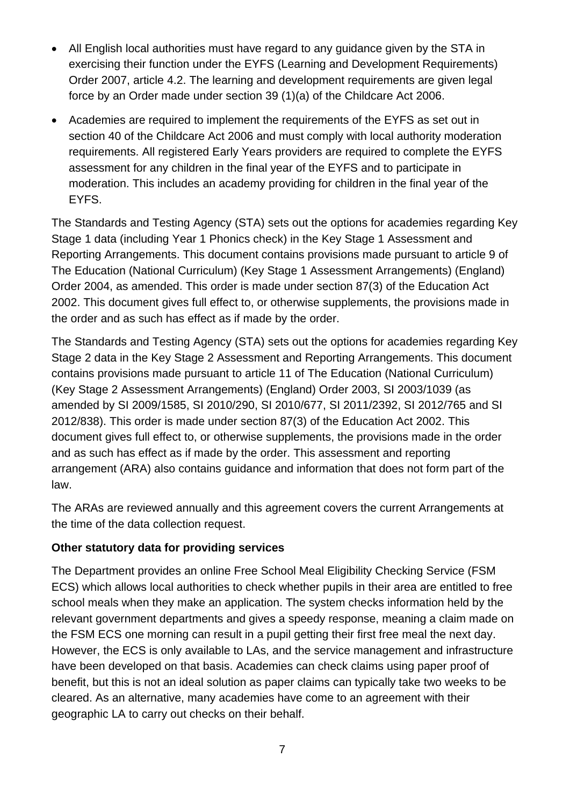- All English local authorities must have regard to any guidance given by the STA in exercising their function under the EYFS (Learning and Development Requirements) Order 2007, article 4.2. The learning and development requirements are given legal force by an Order made under section 39 (1)(a) of the Childcare Act 2006.
- Academies are required to implement the requirements of the EYFS as set out in section 40 of the Childcare Act 2006 and must comply with local authority moderation requirements. All registered Early Years providers are required to complete the EYFS assessment for any children in the final year of the EYFS and to participate in moderation. This includes an academy providing for children in the final year of the EYFS.

The Standards and Testing Agency (STA) sets out the options for academies regarding Key Stage 1 data (including Year 1 Phonics check) in the Key Stage 1 Assessment and Reporting Arrangements. This document contains provisions made pursuant to article 9 of The Education (National Curriculum) (Key Stage 1 Assessment Arrangements) (England) Order 2004, as amended. This order is made under section 87(3) of the Education Act 2002. This document gives full effect to, or otherwise supplements, the provisions made in the order and as such has effect as if made by the order.

The Standards and Testing Agency (STA) sets out the options for academies regarding Key Stage 2 data in the Key Stage 2 Assessment and Reporting Arrangements. This document contains provisions made pursuant to article 11 of The Education (National Curriculum) (Key Stage 2 Assessment Arrangements) (England) Order 2003, SI 2003/1039 (as amended by SI 2009/1585, SI 2010/290, SI 2010/677, SI 2011/2392, SI 2012/765 and SI 2012/838). This order is made under section 87(3) of the Education Act 2002. This document gives full effect to, or otherwise supplements, the provisions made in the order and as such has effect as if made by the order. This assessment and reporting arrangement (ARA) also contains guidance and information that does not form part of the law.

The ARAs are reviewed annually and this agreement covers the current Arrangements at the time of the data collection request.

### **Other statutory data for providing services**

The Department provides an online Free School Meal Eligibility Checking Service (FSM ECS) which allows local authorities to check whether pupils in their area are entitled to free school meals when they make an application. The system checks information held by the relevant government departments and gives a speedy response, meaning a claim made on the FSM ECS one morning can result in a pupil getting their first free meal the next day. However, the ECS is only available to LAs, and the service management and infrastructure have been developed on that basis. Academies can check claims using paper proof of benefit, but this is not an ideal solution as paper claims can typically take two weeks to be cleared. As an alternative, many academies have come to an agreement with their geographic LA to carry out checks on their behalf.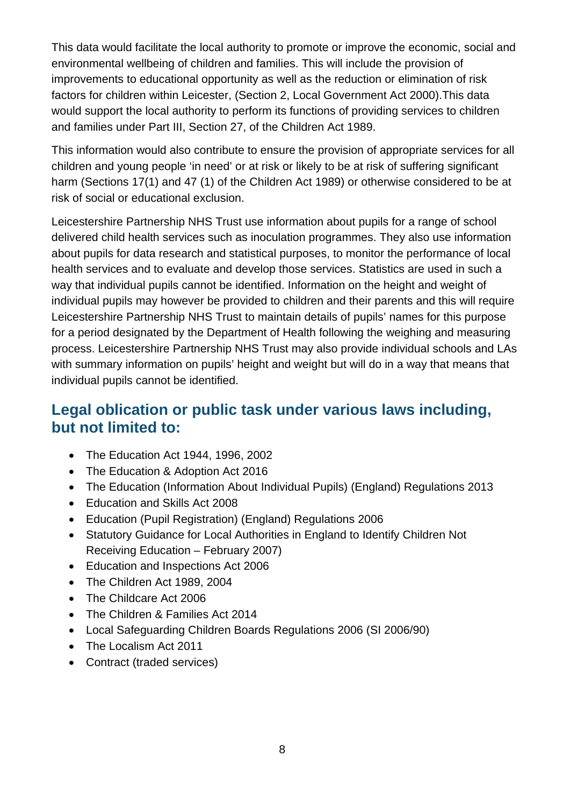This data would facilitate the local authority to promote or improve the economic, social and environmental wellbeing of children and families. This will include the provision of improvements to educational opportunity as well as the reduction or elimination of risk factors for children within Leicester, (Section 2, Local Government Act 2000).This data would support the local authority to perform its functions of providing services to children and families under Part III, Section 27, of the Children Act 1989.

This information would also contribute to ensure the provision of appropriate services for all children and young people 'in need' or at risk or likely to be at risk of suffering significant harm (Sections 17(1) and 47 (1) of the Children Act 1989) or otherwise considered to be at risk of social or educational exclusion.

Leicestershire Partnership NHS Trust use information about pupils for a range of school delivered child health services such as inoculation programmes. They also use information about pupils for data research and statistical purposes, to monitor the performance of local health services and to evaluate and develop those services. Statistics are used in such a way that individual pupils cannot be identified. Information on the height and weight of individual pupils may however be provided to children and their parents and this will require Leicestershire Partnership NHS Trust to maintain details of pupils' names for this purpose for a period designated by the Department of Health following the weighing and measuring process. Leicestershire Partnership NHS Trust may also provide individual schools and LAs with summary information on pupils' height and weight but will do in a way that means that individual pupils cannot be identified.

### **Legal oblication or public task under various laws including, but not limited to:**

- The Education Act 1944, 1996, 2002
- The Education & Adoption Act 2016
- The Education (Information About Individual Pupils) (England) Regulations 2013
- Education and Skills Act 2008
- Education (Pupil Registration) (England) Regulations 2006
- Statutory Guidance for Local Authorities in England to Identify Children Not Receiving Education – February 2007)
- Education and Inspections Act 2006
- The Children Act 1989, 2004
- The Childcare Act 2006
- The Children & Families Act 2014
- Local Safeguarding Children Boards Regulations 2006 (SI 2006/90)
- The Localism Act 2011
- Contract (traded services)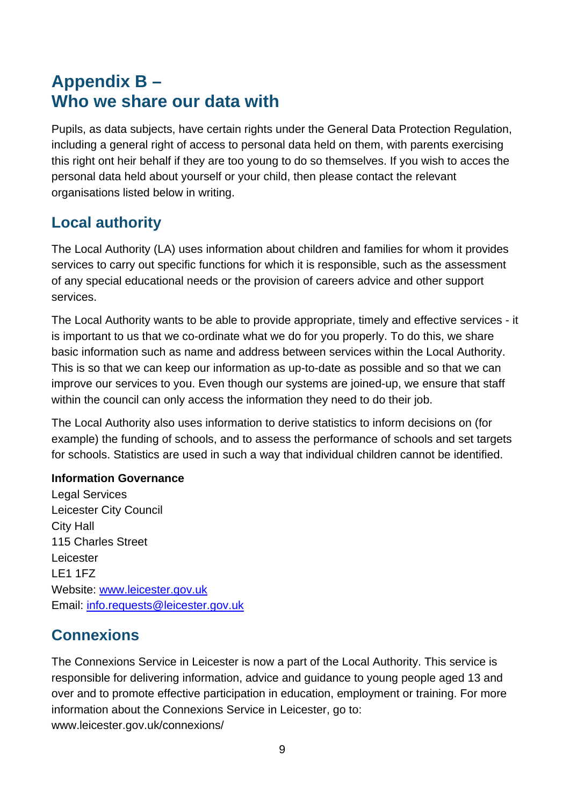# **Appendix B – Who we share our data with**

Pupils, as data subjects, have certain rights under the General Data Protection Regulation, including a general right of access to personal data held on them, with parents exercising this right ont heir behalf if they are too young to do so themselves. If you wish to acces the personal data held about yourself or your child, then please contact the relevant organisations listed below in writing.

## **Local authority**

The Local Authority (LA) uses information about children and families for whom it provides services to carry out specific functions for which it is responsible, such as the assessment of any special educational needs or the provision of careers advice and other support services.

The Local Authority wants to be able to provide appropriate, timely and effective services - it is important to us that we co-ordinate what we do for you properly. To do this, we share basic information such as name and address between services within the Local Authority. This is so that we can keep our information as up-to-date as possible and so that we can improve our services to you. Even though our systems are joined-up, we ensure that staff within the council can only access the information they need to do their job.

The Local Authority also uses information to derive statistics to inform decisions on (for example) the funding of schools, and to assess the performance of schools and set targets for schools. Statistics are used in such a way that individual children cannot be identified.

### **Information Governance**

Legal Services Leicester City Council City Hall 115 Charles Street Leicester LE1 1FZ Website: [www.leicester.gov.uk](http://www.leicester.gov.uk/) Email: [info.requests@leicester.gov.uk](mailto:info.requests@leicester.gov.uk) 

## **Connexions**

The Connexions Service in Leicester is now a part of the Local Authority. This service is responsible for delivering information, advice and guidance to young people aged 13 and over and to promote effective participation in education, employment or training. For more information about the Connexions Service in Leicester, go to: www.leicester.gov.uk/connexions/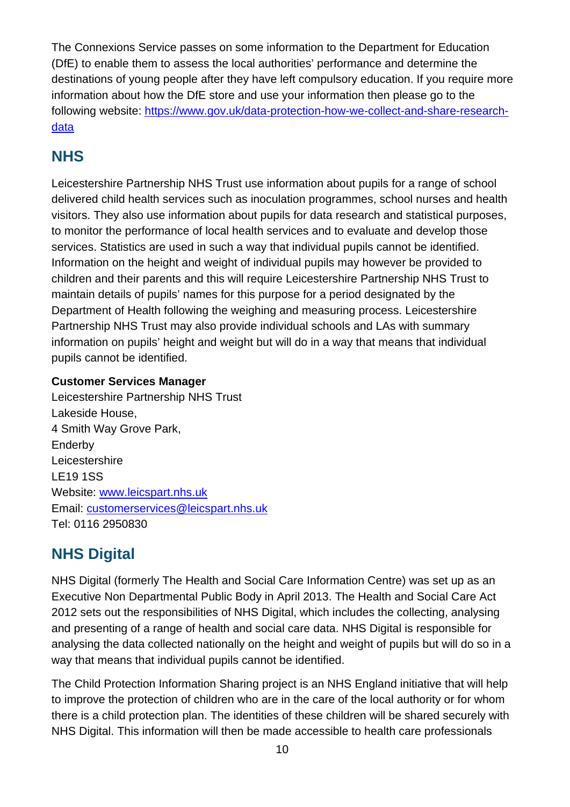The Connexions Service passes on some information to the Department for Education (DfE) to enable them to assess the local authorities' performance and determine the destinations of young people after they have left compulsory education. If you require more information about how the DfE store and use your information then please go to the following website: [https://www.gov.uk/data-protection-how-we-collect-and-share-research](https://www.gov.uk/data-protection-how-we-collect-and-share-research-data)[data](https://www.gov.uk/data-protection-how-we-collect-and-share-research-data)

# **NHS**

Leicestershire Partnership NHS Trust use information about pupils for a range of school delivered child health services such as inoculation programmes, school nurses and health visitors. They also use information about pupils for data research and statistical purposes, to monitor the performance of local health services and to evaluate and develop those services. Statistics are used in such a way that individual pupils cannot be identified. Information on the height and weight of individual pupils may however be provided to children and their parents and this will require Leicestershire Partnership NHS Trust to maintain details of pupils' names for this purpose for a period designated by the Department of Health following the weighing and measuring process. Leicestershire Partnership NHS Trust may also provide individual schools and LAs with summary information on pupils' height and weight but will do in a way that means that individual pupils cannot be identified.

### **Customer Services Manager**

Leicestershire Partnership NHS Trust Lakeside House, 4 Smith Way Grove Park, **Enderby** Leicestershire LE19 1SS Website: [www.leicspart.nhs.uk](http://www.leicspart.nhs.uk/) Email: [customerservices@leicspart.nhs.uk](mailto:customerservices@leicspart.nhs.uk) Tel: 0116 2950830

# **NHS Digital**

NHS Digital (formerly The Health and Social Care Information Centre) was set up as an Executive Non Departmental Public Body in April 2013. The Health and Social Care Act 2012 sets out the responsibilities of NHS Digital, which includes the collecting, analysing and presenting of a range of health and social care data. NHS Digital is responsible for analysing the data collected nationally on the height and weight of pupils but will do so in a way that means that individual pupils cannot be identified.

The Child Protection Information Sharing project is an NHS England initiative that will help to improve the protection of children who are in the care of the local authority or for whom there is a child protection plan. The identities of these children will be shared securely with NHS Digital. This information will then be made accessible to health care professionals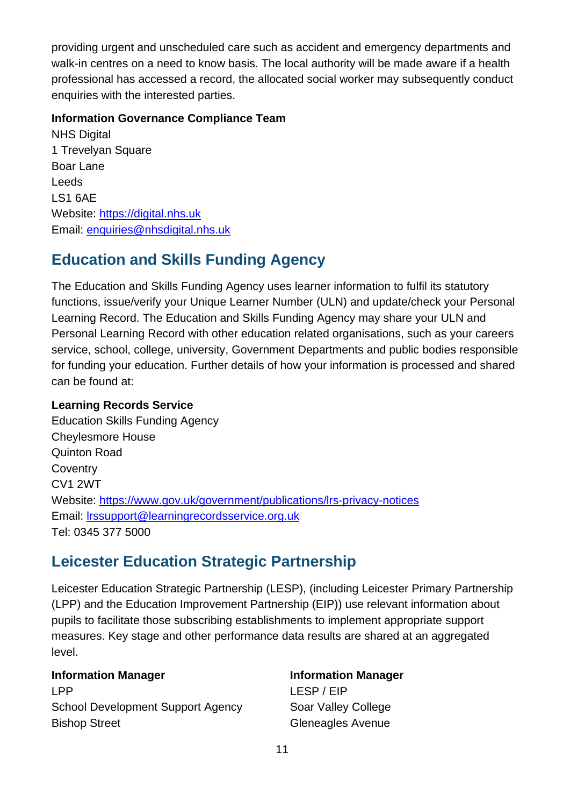providing urgent and unscheduled care such as accident and emergency departments and walk-in centres on a need to know basis. The local authority will be made aware if a health professional has accessed a record, the allocated social worker may subsequently conduct enquiries with the interested parties.

#### **Information Governance Compliance Team**

NHS Digital 1 Trevelyan Square Boar Lane Leeds LS1 6AE Website: [https://digital.nhs.uk](https://digital.nhs.uk/)  Email: [enquiries@nhsdigital.nhs.uk](mailto:enquiries@nhsdigital.nhs.uk)

# **Education and Skills Funding Agency**

The Education and Skills Funding Agency uses learner information to fulfil its statutory functions, issue/verify your Unique Learner Number (ULN) and update/check your Personal Learning Record. The Education and Skills Funding Agency may share your ULN and Personal Learning Record with other education related organisations, such as your careers service, school, college, university, Government Departments and public bodies responsible for funding your education. Further details of how your information is processed and shared can be found at:

### **Learning Records Service**

Education Skills Funding Agency Cheylesmore House Quinton Road **Coventry** CV1 2WT Website: <https://www.gov.uk/government/publications/lrs-privacy-notices> Email: [lrssupport@learningrecordsservice.org.uk](mailto:lrssupport@learningrecordsservice.org.uk) Tel: 0345 377 5000

## **Leicester Education Strategic Partnership**

Leicester Education Strategic Partnership (LESP), (including Leicester Primary Partnership (LPP) and the Education Improvement Partnership (EIP)) use relevant information about pupils to facilitate those subscribing establishments to implement appropriate support measures. Key stage and other performance data results are shared at an aggregated level.

**Information Manager**  LPP School Development Support Agency Bishop Street

**Information Manager**  LESP / EIP Soar Valley College Gleneagles Avenue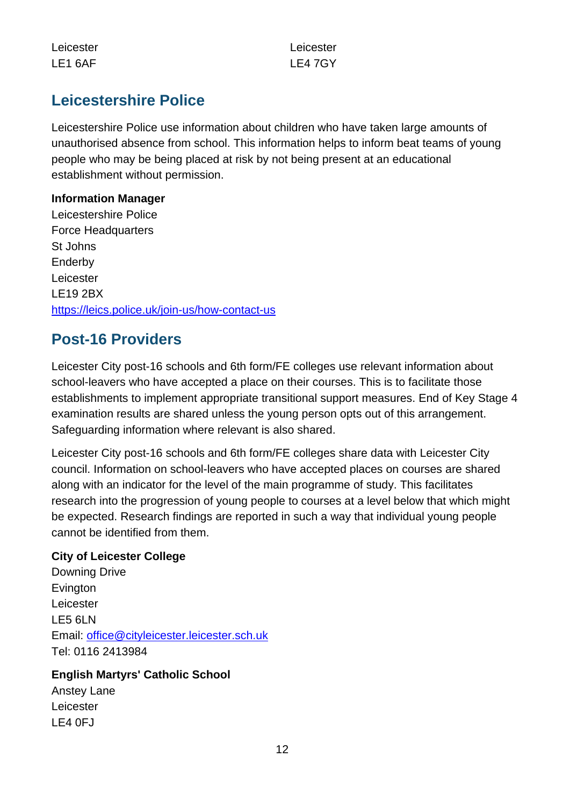Leicester LE1 6AF

Leicester LE4 7GY

## **Leicestershire Police**

Leicestershire Police use information about children who have taken large amounts of unauthorised absence from school. This information helps to inform beat teams of young people who may be being placed at risk by not being present at an educational establishment without permission.

#### **Information Manager**

Leicestershire Police Force Headquarters St Johns Enderby Leicester LE19 2BX <https://leics.police.uk/join-us/how-contact-us>

## **Post-16 Providers**

Leicester City post-16 schools and 6th form/FE colleges use relevant information about school-leavers who have accepted a place on their courses. This is to facilitate those establishments to implement appropriate transitional support measures. End of Key Stage 4 examination results are shared unless the young person opts out of this arrangement. Safeguarding information where relevant is also shared.

Leicester City post-16 schools and 6th form/FE colleges share data with Leicester City council. Information on school-leavers who have accepted places on courses are shared along with an indicator for the level of the main programme of study. This facilitates research into the progression of young people to courses at a level below that which might be expected. Research findings are reported in such a way that individual young people cannot be identified from them.

#### **City of Leicester College**

Downing Drive **Evington** Leicester LE5 6LN Email: [office@cityleicester.leicester.sch.uk](mailto:office@cityleicester.leicester.sch.uk) Tel: 0116 2413984

#### **English Martyrs' Catholic School**

Anstey Lane Leicester LE4 0FJ